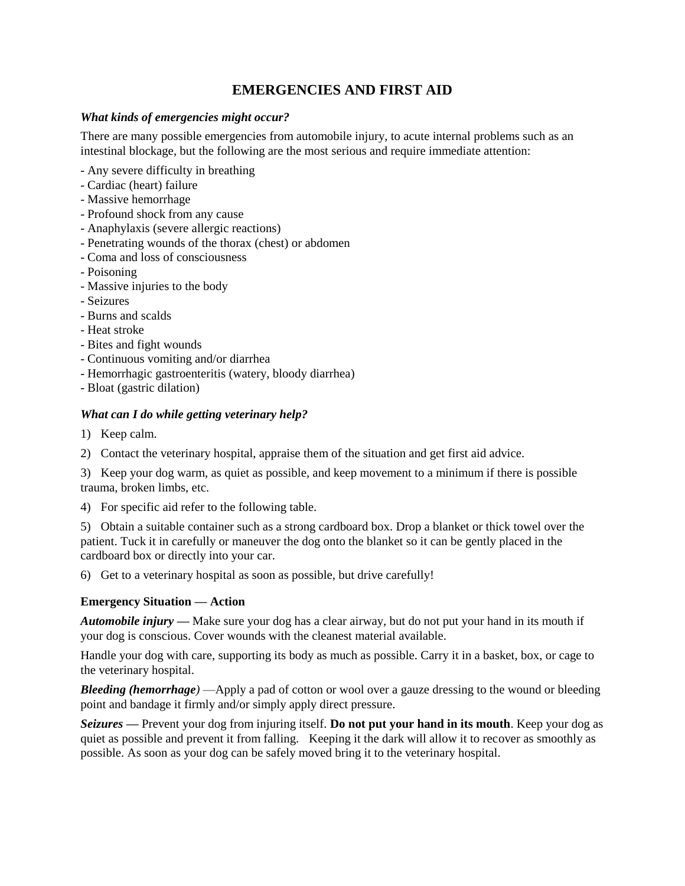# **EMERGENCIES AND FIRST AID**

#### *What kinds of emergencies might occur?*

There are many possible emergencies from automobile injury, to acute internal problems such as an intestinal blockage, but the following are the most serious and require immediate attention:

- Any severe difficulty in breathing
- Cardiac (heart) failure
- Massive hemorrhage
- Profound shock from any cause
- Anaphylaxis (severe allergic reactions)
- Penetrating wounds of the thorax (chest) or abdomen
- Coma and loss of consciousness
- Poisoning
- Massive injuries to the body
- Seizures
- Burns and scalds
- Heat stroke
- Bites and fight wounds
- Continuous vomiting and/or diarrhea
- Hemorrhagic gastroenteritis (watery, bloody diarrhea)
- Bloat (gastric dilation)

## *What can I do while getting veterinary help?*

- 1) Keep calm.
- 2) Contact the veterinary hospital, appraise them of the situation and get first aid advice.

3) Keep your dog warm, as quiet as possible, and keep movement to a minimum if there is possible trauma, broken limbs, etc.

4) For specific aid refer to the following table.

5) Obtain a suitable container such as a strong cardboard box. Drop a blanket or thick towel over the patient. Tuck it in carefully or maneuver the dog onto the blanket so it can be gently placed in the cardboard box or directly into your car.

6) Get to a veterinary hospital as soon as possible, but drive carefully!

#### **Emergency Situation — Action**

*Automobile injury —* Make sure your dog has a clear airway, but do not put your hand in its mouth if your dog is conscious. Cover wounds with the cleanest material available.

Handle your dog with care, supporting its body as much as possible. Carry it in a basket, box, or cage to the veterinary hospital.

*Bleeding (hemorrhage)* —Apply a pad of cotton or wool over a gauze dressing to the wound or bleeding point and bandage it firmly and/or simply apply direct pressure.

*Seizures —* Prevent your dog from injuring itself. **Do not put your hand in its mouth**. Keep your dog as quiet as possible and prevent it from falling. Keeping it the dark will allow it to recover as smoothly as possible. As soon as your dog can be safely moved bring it to the veterinary hospital.